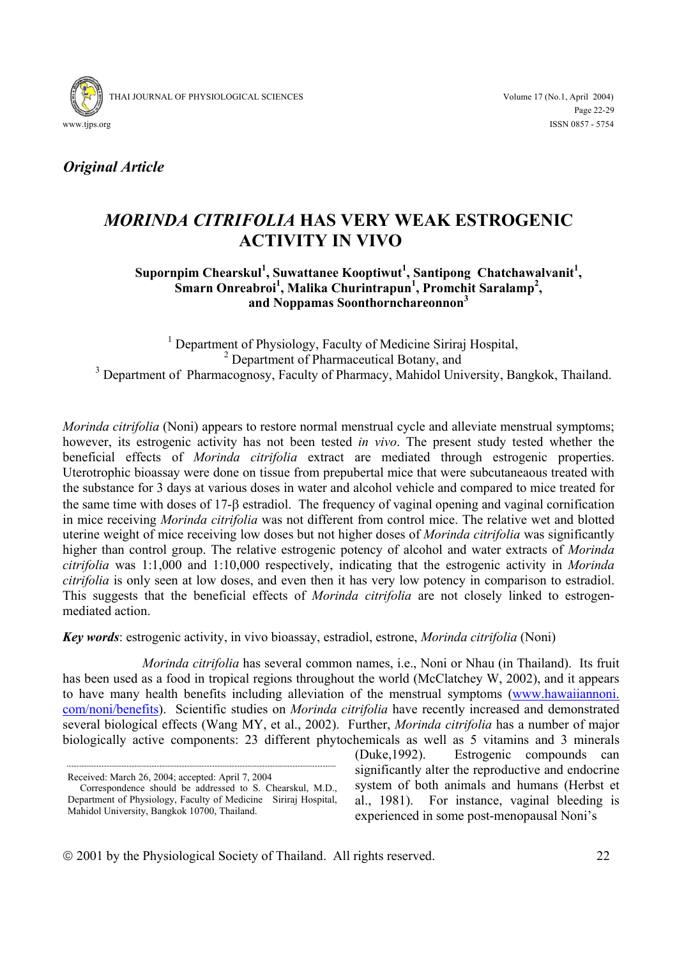

*Original Article* 

# *MORINDA CITRIFOLIA* **HAS VERY WEAK ESTROGENIC ACTIVITY IN VIVO**

# Supornpim Chearskul<sup>1</sup>, Suwattanee Kooptiwut<sup>1</sup>, Santipong Chatchawalvanit<sup>1</sup>, Smarn Onreabroi<sup>1</sup>, Malika Churintrapun<sup>1</sup>, Promchit Saralamp<sup>2</sup>, **and Noppamas Soonthornchareonnon<sup>3</sup>**

<sup>1</sup> Department of Physiology, Faculty of Medicine Siriraj Hospital, <sup>2</sup> Department of Pharmaceutical Botany, and <sup>3</sup> Department of Pharmacognosy, Faculty of Pharmacy, Mahidol University, Bangkok, Thailand.

*Morinda citrifolia* (Noni) appears to restore normal menstrual cycle and alleviate menstrual symptoms; however, its estrogenic activity has not been tested *in vivo*. The present study tested whether the beneficial effects of *Morinda citrifolia* extract are mediated through estrogenic properties. Uterotrophic bioassay were done on tissue from prepubertal mice that were subcutaneaous treated with the substance for 3 days at various doses in water and alcohol vehicle and compared to mice treated for the same time with doses of 17-β estradiol. The frequency of vaginal opening and vaginal cornification in mice receiving *Morinda citrifolia* was not different from control mice. The relative wet and blotted uterine weight of mice receiving low doses but not higher doses of *Morinda citrifolia* was significantly higher than control group. The relative estrogenic potency of alcohol and water extracts of *Morinda citrifolia* was 1:1,000 and 1:10,000 respectively, indicating that the estrogenic activity in *Morinda citrifolia* is only seen at low doses, and even then it has very low potency in comparison to estradiol. This suggests that the beneficial effects of *Morinda citrifolia* are not closely linked to estrogenmediated action.

*Key words*: estrogenic activity, in vivo bioassay, estradiol, estrone, *Morinda citrifolia* (Noni)

*Morinda citrifolia* has several common names, i.e., Noni or Nhau (in Thailand). Its fruit has been used as a food in tropical regions throughout the world (McClatchey W, 2002), and it appears to have many health benefits including alleviation of the menstrual symptoms (www.hawaiiannoni. com/noni/benefits). Scientific studies on *Morinda citrifolia* have recently increased and demonstrated several biological effects (Wang MY, et al., 2002). Further, *Morinda citrifolia* has a number of major biologically active components: 23 different phytochemicals as well as 5 vitamins and 3 minerals

Received: March 26, 2004; accepted: April 7, 2004

(Duke,1992). Estrogenic compounds can significantly alter the reproductive and endocrine system of both animals and humans (Herbst et al., 1981). For instance, vaginal bleeding is experienced in some post-menopausal Noni's

2001 by the Physiological Society of Thailand. All rights reserved. 22

Correspondence should be addressed to S. Chearskul, M.D., Department of Physiology, Faculty of Medicine Siriraj Hospital, Mahidol University, Bangkok 10700, Thailand.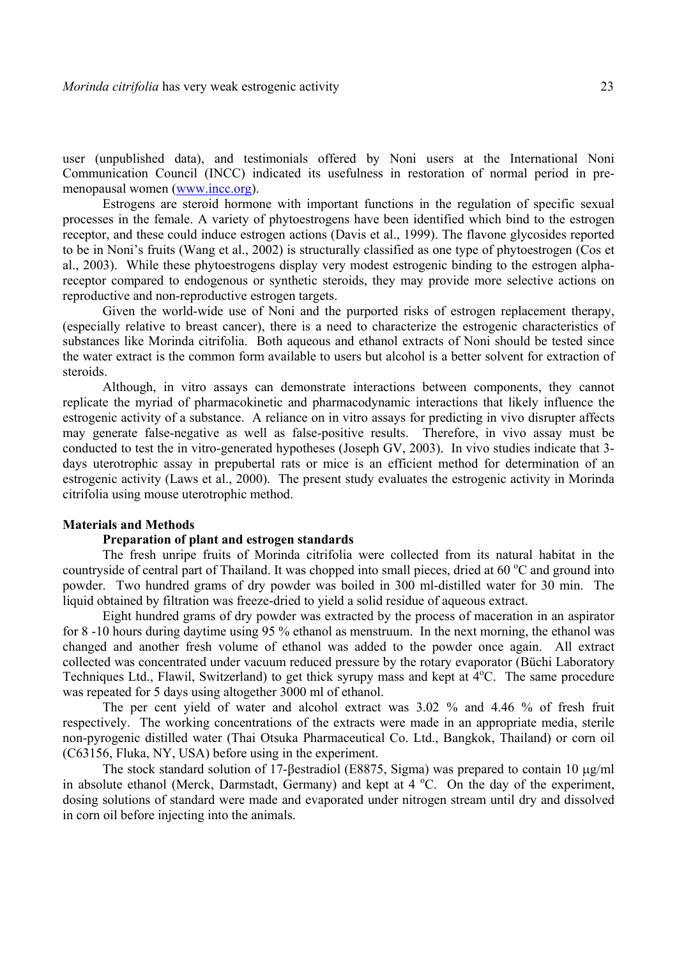user (unpublished data), and testimonials offered by Noni users at the International Noni Communication Council (INCC) indicated its usefulness in restoration of normal period in premenopausal women (www.incc.org).

Estrogens are steroid hormone with important functions in the regulation of specific sexual processes in the female. A variety of phytoestrogens have been identified which bind to the estrogen receptor, and these could induce estrogen actions (Davis et al., 1999). The flavone glycosides reported to be in Noni's fruits (Wang et al., 2002) is structurally classified as one type of phytoestrogen (Cos et al., 2003). While these phytoestrogens display very modest estrogenic binding to the estrogen alphareceptor compared to endogenous or synthetic steroids, they may provide more selective actions on reproductive and non-reproductive estrogen targets.

 Given the world-wide use of Noni and the purported risks of estrogen replacement therapy, (especially relative to breast cancer), there is a need to characterize the estrogenic characteristics of substances like Morinda citrifolia. Both aqueous and ethanol extracts of Noni should be tested since the water extract is the common form available to users but alcohol is a better solvent for extraction of steroids.

 Although, in vitro assays can demonstrate interactions between components, they cannot replicate the myriad of pharmacokinetic and pharmacodynamic interactions that likely influence the estrogenic activity of a substance. A reliance on in vitro assays for predicting in vivo disrupter affects may generate false-negative as well as false-positive results. Therefore, in vivo assay must be conducted to test the in vitro-generated hypotheses (Joseph GV, 2003). In vivo studies indicate that 3 days uterotrophic assay in prepubertal rats or mice is an efficient method for determination of an estrogenic activity (Laws et al., 2000). The present study evaluates the estrogenic activity in Morinda citrifolia using mouse uterotrophic method.

# **Materials and Methods**

#### **Preparation of plant and estrogen standards**

 The fresh unripe fruits of Morinda citrifolia were collected from its natural habitat in the countryside of central part of Thailand. It was chopped into small pieces, dried at 60 °C and ground into powder. Two hundred grams of dry powder was boiled in 300 ml-distilled water for 30 min. The liquid obtained by filtration was freeze-dried to yield a solid residue of aqueous extract.

 Eight hundred grams of dry powder was extracted by the process of maceration in an aspirator for 8 -10 hours during daytime using 95 % ethanol as menstruum. In the next morning, the ethanol was changed and another fresh volume of ethanol was added to the powder once again. All extract collected was concentrated under vacuum reduced pressure by the rotary evaporator (Büchi Laboratory Techniques Ltd., Flawil, Switzerland) to get thick syrupy mass and kept at 4°C. The same procedure was repeated for 5 days using altogether 3000 ml of ethanol.

 The per cent yield of water and alcohol extract was 3.02 % and 4.46 % of fresh fruit respectively. The working concentrations of the extracts were made in an appropriate media, sterile non-pyrogenic distilled water (Thai Otsuka Pharmaceutical Co. Ltd., Bangkok, Thailand) or corn oil (C63156, Fluka, NY, USA) before using in the experiment.

 The stock standard solution of 17-βestradiol (E8875, Sigma) was prepared to contain 10 µg/ml in absolute ethanol (Merck, Darmstadt, Germany) and kept at  $4^{\circ}$ C. On the day of the experiment, dosing solutions of standard were made and evaporated under nitrogen stream until dry and dissolved in corn oil before injecting into the animals.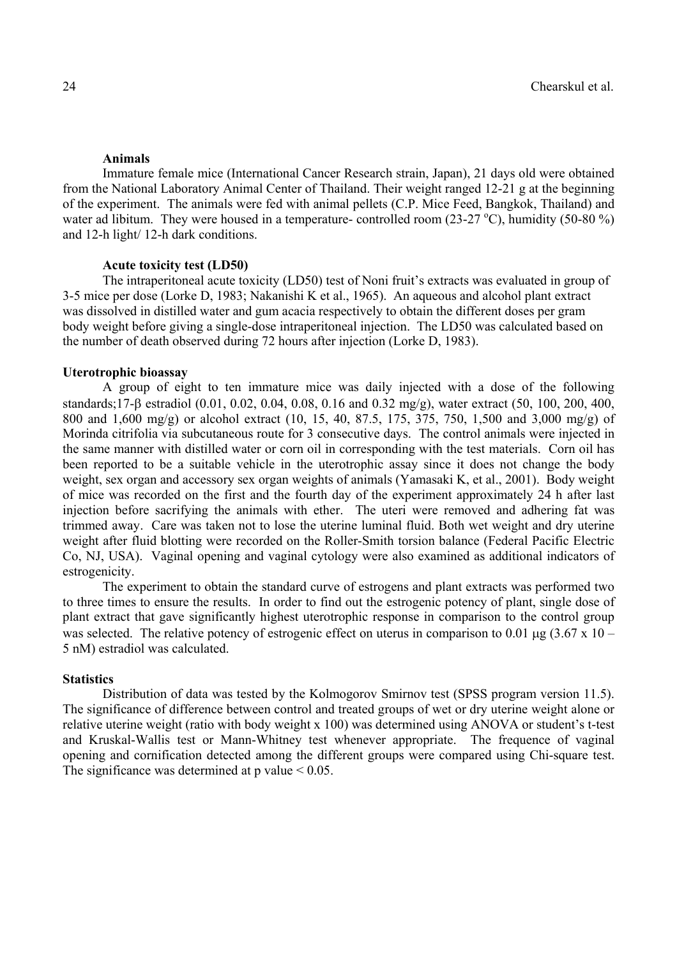#### **Animals**

 Immature female mice (International Cancer Research strain, Japan), 21 days old were obtained from the National Laboratory Animal Center of Thailand. Their weight ranged 12-21 g at the beginning of the experiment. The animals were fed with animal pellets (C.P. Mice Feed, Bangkok, Thailand) and water ad libitum. They were housed in a temperature- controlled room  $(23-27 \degree C)$ , humidity (50-80 %) and 12-h light/ 12-h dark conditions.

#### **Acute toxicity test (LD50)**

 The intraperitoneal acute toxicity (LD50) test of Noni fruit's extracts was evaluated in group of 3-5 mice per dose (Lorke D, 1983; Nakanishi K et al., 1965). An aqueous and alcohol plant extract was dissolved in distilled water and gum acacia respectively to obtain the different doses per gram body weight before giving a single-dose intraperitoneal injection. The LD50 was calculated based on the number of death observed during 72 hours after injection (Lorke D, 1983).

#### **Uterotrophic bioassay**

 A group of eight to ten immature mice was daily injected with a dose of the following standards;17-β estradiol (0.01, 0.02, 0.04, 0.08, 0.16 and 0.32 mg/g), water extract (50, 100, 200, 400, 800 and 1,600 mg/g) or alcohol extract (10, 15, 40, 87.5, 175, 375, 750, 1,500 and 3,000 mg/g) of Morinda citrifolia via subcutaneous route for 3 consecutive days. The control animals were injected in the same manner with distilled water or corn oil in corresponding with the test materials. Corn oil has been reported to be a suitable vehicle in the uterotrophic assay since it does not change the body weight, sex organ and accessory sex organ weights of animals (Yamasaki K, et al., 2001). Body weight of mice was recorded on the first and the fourth day of the experiment approximately 24 h after last injection before sacrifying the animals with ether. The uteri were removed and adhering fat was trimmed away. Care was taken not to lose the uterine luminal fluid. Both wet weight and dry uterine weight after fluid blotting were recorded on the Roller-Smith torsion balance (Federal Pacific Electric Co, NJ, USA). Vaginal opening and vaginal cytology were also examined as additional indicators of estrogenicity.

 The experiment to obtain the standard curve of estrogens and plant extracts was performed two to three times to ensure the results. In order to find out the estrogenic potency of plant, single dose of plant extract that gave significantly highest uterotrophic response in comparison to the control group was selected. The relative potency of estrogenic effect on uterus in comparison to 0.01  $\mu$ g (3.67 x 10 – 5 nM) estradiol was calculated.

#### **Statistics**

 Distribution of data was tested by the Kolmogorov Smirnov test (SPSS program version 11.5). The significance of difference between control and treated groups of wet or dry uterine weight alone or relative uterine weight (ratio with body weight x 100) was determined using ANOVA or student's t-test and Kruskal-Wallis test or Mann-Whitney test whenever appropriate. The frequence of vaginal opening and cornification detected among the different groups were compared using Chi-square test. The significance was determined at  $p$  value  $\leq 0.05$ .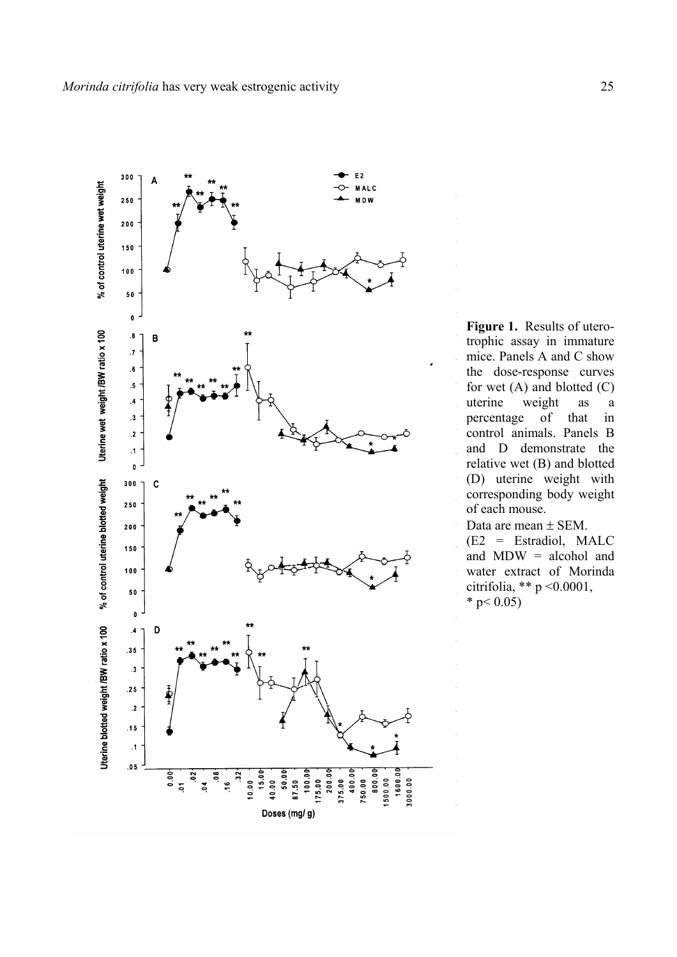

**Figure 1.** Results of uterotrophic assay in immature mice. Panels A and C show the dose-response curves for wet  $(A)$  and blotted  $(C)$ uterine weight as a percentage of that in control animals. Panels B and D demonstrate the relative wet (B) and blotted (D) uterine weight with corresponding body weight of each mouse.

Data are mean ± SEM. (E2 = Estradiol, MALC and MDW = alcohol and water extract of Morinda citrifolia, \*\* p <0.0001, \* p  $0.05$ )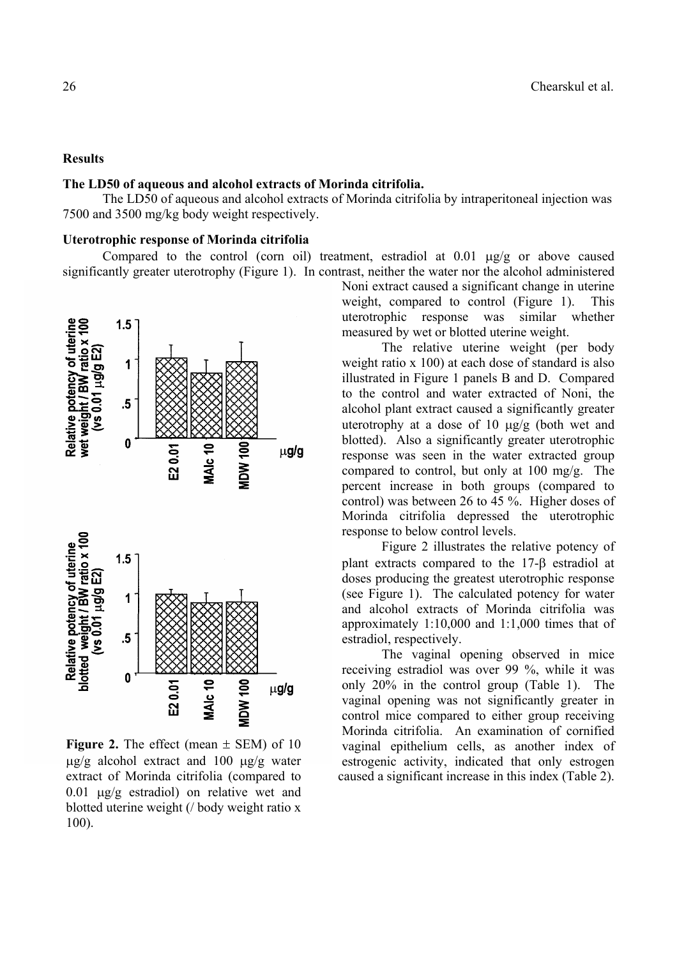# **Results**

# **The LD50 of aqueous and alcohol extracts of Morinda citrifolia.**

The LD50 of aqueous and alcohol extracts of Morinda citrifolia by intraperitoneal injection was 7500 and 3500 mg/kg body weight respectively.

#### **Uterotrophic response of Morinda citrifolia**

Compared to the control (corn oil) treatment, estradiol at 0.01 µg/g or above caused significantly greater uterotrophy (Figure 1). In contrast, neither the water nor the alcohol administered



**Figure 2.** The effect (mean  $\pm$  SEM) of 10  $\mu$ g/g alcohol extract and 100  $\mu$ g/g water extract of Morinda citrifolia (compared to 0.01 µg/g estradiol) on relative wet and blotted uterine weight (/ body weight ratio x 100).

Noni extract caused a significant change in uterine weight, compared to control (Figure 1). This uterotrophic response was similar whether measured by wet or blotted uterine weight.

The relative uterine weight (per body weight ratio x 100) at each dose of standard is also illustrated in Figure 1 panels B and D. Compared to the control and water extracted of Noni, the alcohol plant extract caused a significantly greater uterotrophy at a dose of 10  $\mu$ g/g (both wet and blotted). Also a significantly greater uterotrophic response was seen in the water extracted group compared to control, but only at 100 mg/g. The percent increase in both groups (compared to control) was between 26 to 45 %. Higher doses of Morinda citrifolia depressed the uterotrophic response to below control levels.

Figure 2 illustrates the relative potency of plant extracts compared to the 17-β estradiol at doses producing the greatest uterotrophic response (see Figure 1). The calculated potency for water and alcohol extracts of Morinda citrifolia was approximately 1:10,000 and 1:1,000 times that of estradiol, respectively.

 The vaginal opening observed in mice receiving estradiol was over 99 %, while it was only 20% in the control group (Table 1). The vaginal opening was not significantly greater in control mice compared to either group receiving Morinda citrifolia. An examination of cornified vaginal epithelium cells, as another index of estrogenic activity, indicated that only estrogen caused a significant increase in this index (Table 2).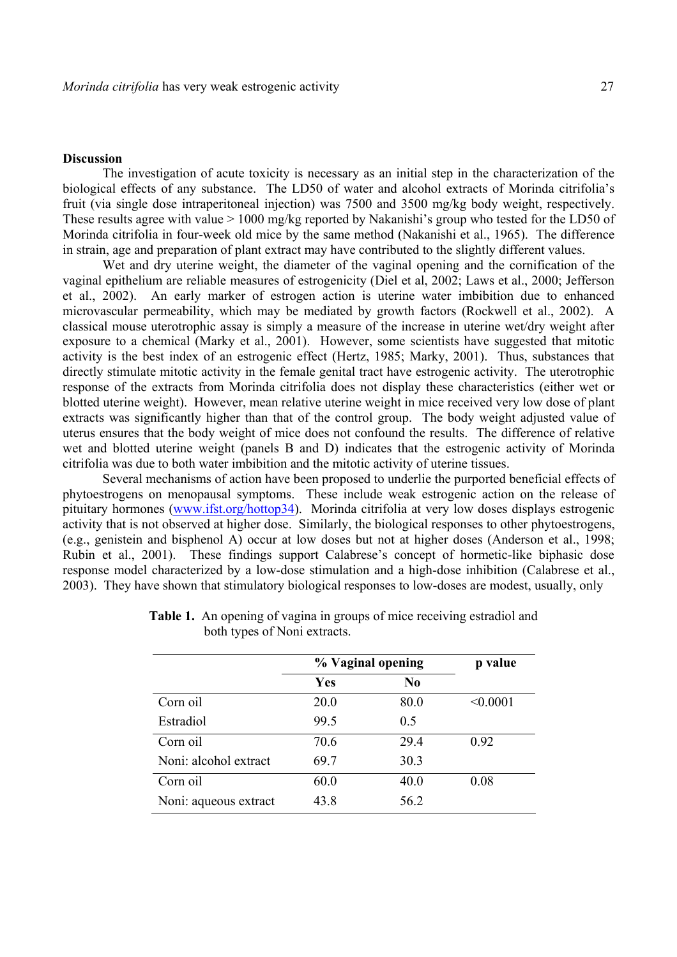# **Discussion**

The investigation of acute toxicity is necessary as an initial step in the characterization of the biological effects of any substance. The LD50 of water and alcohol extracts of Morinda citrifolia's fruit (via single dose intraperitoneal injection) was 7500 and 3500 mg/kg body weight, respectively. These results agree with value > 1000 mg/kg reported by Nakanishi's group who tested for the LD50 of Morinda citrifolia in four-week old mice by the same method (Nakanishi et al., 1965). The difference in strain, age and preparation of plant extract may have contributed to the slightly different values.

 Wet and dry uterine weight, the diameter of the vaginal opening and the cornification of the vaginal epithelium are reliable measures of estrogenicity (Diel et al, 2002; Laws et al., 2000; Jefferson et al., 2002). An early marker of estrogen action is uterine water imbibition due to enhanced microvascular permeability, which may be mediated by growth factors (Rockwell et al., 2002). A classical mouse uterotrophic assay is simply a measure of the increase in uterine wet/dry weight after exposure to a chemical (Marky et al., 2001). However, some scientists have suggested that mitotic activity is the best index of an estrogenic effect (Hertz, 1985; Marky, 2001). Thus, substances that directly stimulate mitotic activity in the female genital tract have estrogenic activity. The uterotrophic response of the extracts from Morinda citrifolia does not display these characteristics (either wet or blotted uterine weight). However, mean relative uterine weight in mice received very low dose of plant extracts was significantly higher than that of the control group. The body weight adjusted value of uterus ensures that the body weight of mice does not confound the results. The difference of relative wet and blotted uterine weight (panels B and D) indicates that the estrogenic activity of Morinda citrifolia was due to both water imbibition and the mitotic activity of uterine tissues.

Several mechanisms of action have been proposed to underlie the purported beneficial effects of phytoestrogens on menopausal symptoms. These include weak estrogenic action on the release of pituitary hormones (www.ifst.org/hottop34). Morinda citrifolia at very low doses displays estrogenic activity that is not observed at higher dose. Similarly, the biological responses to other phytoestrogens, (e.g., genistein and bisphenol A) occur at low doses but not at higher doses (Anderson et al., 1998; Rubin et al., 2001). These findings support Calabrese's concept of hormetic-like biphasic dose response model characterized by a low-dose stimulation and a high-dose inhibition (Calabrese et al., 2003). They have shown that stimulatory biological responses to low-doses are modest, usually, only

|                       | % Vaginal opening |                | p value  |
|-----------------------|-------------------|----------------|----------|
|                       | Yes               | N <sub>0</sub> |          |
| Corn oil              | 20.0              | 80.0           | < 0.0001 |
| Estradiol             | 99.5              | 0.5            |          |
| Corn oil              | 70.6              | 29.4           | 0.92     |
| Noni: alcohol extract | 69.7              | 30.3           |          |
| Corn oil              | 60.0              | 40.0           | 0.08     |
| Noni: aqueous extract | 43.8              | 56.2           |          |

**Table 1.** An opening of vagina in groups of mice receiving estradiol and both types of Noni extracts.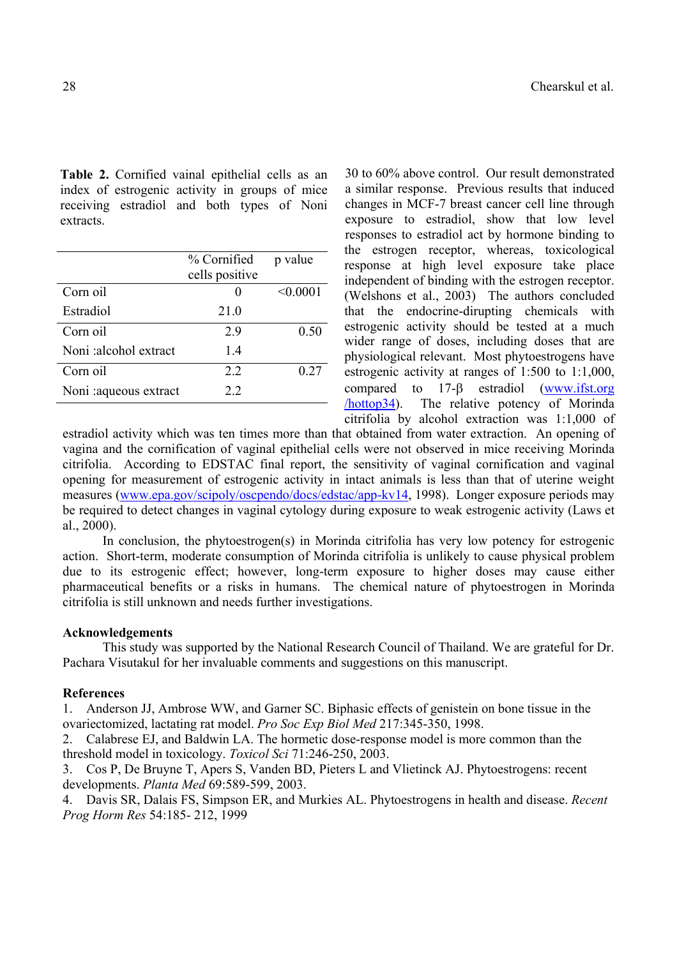**Table 2.** Cornified vainal epithelial cells as an index of estrogenic activity in groups of mice receiving estradiol and both types of Noni extracts.

|                        | % Cornified    | p value  |
|------------------------|----------------|----------|
|                        | cells positive |          |
| Corn oil               |                | < 0.0001 |
| Estradiol              | 21.0           |          |
| Corn oil               | 2.9            | 0.50     |
| Noni:alcohol extract   | 1.4            |          |
| Corn oil               | 2.2            | 0.27     |
| Noni : aqueous extract | 22             |          |
|                        |                |          |

30 to 60% above control. Our result demonstrated a similar response. Previous results that induced changes in MCF-7 breast cancer cell line through exposure to estradiol, show that low level responses to estradiol act by hormone binding to the estrogen receptor, whereas, toxicological response at high level exposure take place independent of binding with the estrogen receptor. (Welshons et al., 2003) The authors concluded that the endocrine-dirupting chemicals with estrogenic activity should be tested at a much wider range of doses, including doses that are physiological relevant. Most phytoestrogens have estrogenic activity at ranges of 1:500 to 1:1,000, compared to 17-β estradiol (www.ifst.org /hottop34). The relative potency of Morinda citrifolia by alcohol extraction was 1:1,000 of

estradiol activity which was ten times more than that obtained from water extraction. An opening of vagina and the cornification of vaginal epithelial cells were not observed in mice receiving Morinda citrifolia. According to EDSTAC final report, the sensitivity of vaginal cornification and vaginal opening for measurement of estrogenic activity in intact animals is less than that of uterine weight measures (www.epa.gov/scipoly/oscpendo/docs/edstac/app-kv14, 1998). Longer exposure periods may be required to detect changes in vaginal cytology during exposure to weak estrogenic activity (Laws et al., 2000).

 In conclusion, the phytoestrogen(s) in Morinda citrifolia has very low potency for estrogenic action. Short-term, moderate consumption of Morinda citrifolia is unlikely to cause physical problem due to its estrogenic effect; however, long-term exposure to higher doses may cause either pharmaceutical benefits or a risks in humans. The chemical nature of phytoestrogen in Morinda citrifolia is still unknown and needs further investigations.

# **Acknowledgements**

 This study was supported by the National Research Council of Thailand. We are grateful for Dr. Pachara Visutakul for her invaluable comments and suggestions on this manuscript.

# **References**

1. Anderson JJ, Ambrose WW, and Garner SC. Biphasic effects of genistein on bone tissue in the ovariectomized, lactating rat model. *Pro Soc Exp Biol Med* 217:345-350, 1998.

2. Calabrese EJ, and Baldwin LA. The hormetic dose-response model is more common than the threshold model in toxicology. *Toxicol Sci* 71:246-250, 2003.

3. Cos P, De Bruyne T, Apers S, Vanden BD, Pieters L and Vlietinck AJ. Phytoestrogens: recent developments. *Planta Med* 69:589-599, 2003.

4. Davis SR, Dalais FS, Simpson ER, and Murkies AL. Phytoestrogens in health and disease. *Recent Prog Horm Res* 54:185- 212, 1999